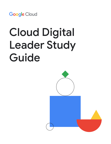

# Cloud Digital Leader Study Guide

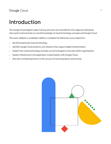## Introduction

The Google Cloud Digital Leader training and exam are intended for tech-adjacent individuals who want to demonstrate an overall knowledge of cloud technology concepts and Google Cloud.

The exam validates a candidate's ability to complete the following course objectives:

- Recall fundamental cloud terminology
- Identify Google Cloud products and solutions that support digital transformation
- Explain how cloud technology and data can be leveraged to innovate within organizations
- Explain infrastructure and application modernization with Google Cloud
- Describe contributing factors to the success of cloud operations and security

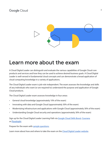

## Learn more about the exam

A Cloud Digital Leader can distinguish and evaluate the various capabilities of Google Cloud core products and services and how they can be used to achieve desired business goals. A Cloud Digital Leader is well-versed in fundamental cloud concepts and can demonstrate a broad application of cloud computing knowledge in a variety of applications.

The Cloud Digital Leader exam is job-role independent. The exam assesses the knowledge and skills of any individuals who want (or are required to) understand the purpose and application of Google Cloud products.

The Cloud Digital Leader exam assesses knowledge in four areas:

- General cloud knowledge (approximately 10% of the exam)
- Innovating with data and Google Cloud (approximately 30% of the exam)
- Modernizing infrastructure and applications with Google Cloud (approximately 30% of the exam)
- Understanding Google Cloud security and operations (approximately 30% of the exam)

Sign up for the Cloud Digital Leader Learning Path via [Google Cloud Skills Boost](https://www.cloudskillsboost.google/paths/9), [Coursera](https://www.coursera.org/professional-certificates/google-cloud-digital-leader-training?) or [Pluralsight](https://www.google.com/url?q=https://www.pluralsight.com/paths/google-cloud-digital-leader-training&sa=D&source=docs&ust=1637158496986000&usg=AOvVaw26hUkAHyYdumY5iyafmayN).

Prepare for the exam with [sample questions.](https://docs.google.com/forms/d/e/1FAIpQLSfsSfkh9PE-HjdRRzJ24wPSjZrXF3gLxmncAYx31gyz2rLbtw/viewform)

Learn more about how and where to take the exam on the [Cloud Digital Leader website](https://www.google.com/url?q=https://cloud.google.com/certification/cloud-digital-leader&sa=D&source=docs&ust=1637158149710000&usg=AOvVaw2tKwCHl-8FmJidJJTueOsl).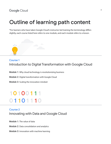## Outline of learning path content

\*For learners who have taken Google Cloud's instructor-led training the terminology differs slightly, each course listed here refers to one module, and each module refers to a lesson.



### Course 1

Introduction to Digital Transformation with Google Cloud

Module 1: Why cloud technology is revolutionizing business

Module 2: Digital transformation with Google Cloud

Module 3: Scaling the innovation mindset

## 10100111 01101110

## Course 2 Innovating with Data and Google Cloud

Module 1: The value of data Module 2: Data consolidation and analytics Module 3: Innovation with machine learning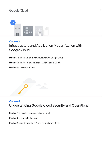

#### Course 3

## Infrastructure and Application Modernization with Google Cloud

Module 1: Modernizing IT infrastructure with Google Cloud

Module 2: Modernizing applications with Google Cloud

Module 3: The value of APIs



## Course 4 Understanding Google Cloud Security and Operations

Module 1: Financial governance in the cloud

Module 2: Security in the cloud

Module 3: Monitoring cloud IT services and operations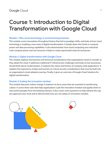## Course 1: Introduction to Digital Transformation with Google Cloud

#### Module 1: Why cloud technology is revolutionizing business

This module covers innovations throughout history that led to paradigm shifts, and looks at how cloud technology is enabling a new wave of digital transformation. It breaks down the trends in compute power and data processing capabilities. It also demonstrates how cloud computing uses industrialscale compute power and vast amounts of data to create exponential value for businesses.

#### Module 2: Digital transformation with Google Cloud

This module explores the business and technical considerations that organizations need to consider as they adopt the cloud. It addresses traditional IT infrastructure challenges and looks at how businesses should think about modernization. It explores the nature and history of company-wide applications. It explains the importance of data and touches on critical security considerations that must be built into an organization's cloud adoption journey. Finally, it gives an overview of Google Cloud Solutions for digital transformation.

#### Module 3: Scaling the innovation mindset

This module discusses culture change. It explores six focus areas that are essential to transforming culture. It covers three rules that help organizations scale the innovation mindset and applies them to real-world examples from the banking industry. It also covers some questions to help reframe the way you approach your work and to demonstrate how you can adopt an innovative mindset.

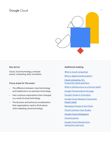

#### Key terms:

Cloud, cloud technology, compute power, computing, data, innovation

#### Focus areas for the exam:

- The difference between cloud technology and traditional or on-premises technology
- How customer expectations have changed as a result of cloud technology
- The business and technical considerations that organizations need to think about when adopting cloud technology

#### Additional reading:

- [What is cloud computing?](https://cloud.google.com/learn/what-is-cloud-computing)
- [What is digital transformation?](https://cloud.google.com/learn/what-is-digital-transformation)
- [Cloud computing 101:](https://cloud.google.com/blog/topics/inside-google-cloud/cloud-computing-101-frequently-asked-questions)
- [Frequently asked questions](https://cloud.google.com/blog/topics/inside-google-cloud/cloud-computing-101-frequently-asked-questions)
- [What is Infrastructure as a Service \(IaaS\)?](https://cloud.google.com/learn/what-is-iaas)
- [Google Cloud products list page](https://cloud.google.com/products)
- [Google's Guide to Innovation](https://services.google.com/fh/files/misc/guide_to_innovation_2020_google_cloud.pdf)
- [Google Cloud Adoption Framework](https://services.google.com/fh/files/misc/google_cloud_adoption_framework_whitepaper.pdf)  [Impact Study](https://services.google.com/fh/files/misc/google_cloud_adoption_framework_whitepaper.pdf)
- [Managing Change in the Cloud](https://services.google.com/fh/files/misc/managing_change_in_the_cloud.pdf)
- [Cloud Customer Case Studies](https://cloud.google.com/customers)
- [Google Cloud whitepapers](https://cloud.google.com/whitepapers)
- [Cloud locations](https://cloud.google.com/about/locations)
- [Google Cloud infrastructure](https://cloud.withgoogle.com/infrastructure)  [\(interactive web tool\)](https://cloud.withgoogle.com/infrastructure)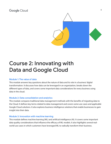

## Course 2: Innovating with Data and Google Cloud

#### Module 1: The value of data

This module answers key questions about the nature of data and its role in a business' digital transformation. It discusses how data can be leveraged in an organization, breaks down the different types of data, and covers some important data considerations for every business using data in the cloud.

#### Module 2: Data consolidation and analytics

This module compares traditional data management methods with the benefits of migrating data to the Cloud. It defines key terms related to data management and covers some use cases and applicable Google Cloud solutions. It also explores business intelligence solutions that enable businesses to gain insight into their data.

#### Module 3: Innovation with machine learning

This module defines machine learning (ML) and artificial intelligence (AI). It covers some important data quality considerations that influence the efficacy of ML models. It also highlights several realworld use cases in which customers have leveraged ML to radically transform their business.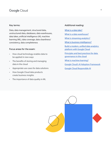#### Key terms:

Data, data management, structured data, unstructured data, databases, data warehouses, data lakes, artificial intelligence (AI), machine learning (ML), data coverage, data cleanliness/ consistency, data completeness

#### Focus areas for the exam:

- How cloud technology enables data to be applied in new ways
- The benefits of storing and managing data in the cloud
- Appropriate use cases for data solutions
- How Google Cloud data products create business insights
- The importance of data quality in ML

#### Additional reading:

- [What is a data lake?](https://cloud.google.com/learn/what-is-a-data-lake) [What is a data warehouse?](https://cloud.google.com/learn/what-is-a-data-warehouse)
- [What is streaming analytics?](https://www.google.com/url?q=https://cloud.google.com/learn/what-is-streaming-analytics&sa=D&source=docs&ust=1637162064356000&usg=AOvVaw2SFXkTt8KXGcLdImD7wr_D)
- [What is business intelligence?](https://cloud.google.com/learn/what-is-business-intelligence)
- [Build a modern, unified data analytics](https://services.google.com/fh/files/misc/googlecloud_unified_analytics_data_platform_paper_2021.pdf)  [platform with Google Cloud](https://services.google.com/fh/files/misc/googlecloud_unified_analytics_data_platform_paper_2021.pdf)
- [Principles and best practices for data](https://services.google.com/fh/files/misc/principles_best_practices_for_data-governance.pdf)  [governance in the cloud](https://services.google.com/fh/files/misc/principles_best_practices_for_data-governance.pdf)
- [What is machine learning?](https://cloud.google.com/learn/what-is-machine-learning)
- [Google Cloud's AI Adoption Framework](https://services.google.com/fh/files/misc/ai_adoption_framework_whitepaper.pdf)
- [Google Cloud Responsible AI](https://cloud.google.com/responsible-ai)

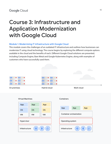## Course 3: Infrastructure and Application Modernization with Google Cloud

#### Module 1: Modernizing IT infrastructure with Google Cloud

This module covers the challenges of an outdated IT infrastructure and outlines how businesses can modernize IT using cloud technology. The course begins by exploring the different compute options available in the cloud and the benefits of each. Different Google Cloud solutions are presented, including Compute Engine, Bare Metal and Google Kubernetes Engine, along with examples of customers who have successfully used them.





#### **Containers**

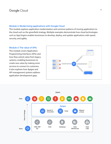#### Module 2: Modernizing applications with Google Cloud

This module explores application modernization and common patterns of moving applications to the cloud such as the greenfield strategy. Multiple examples demonstrate how cloud technologies such as App Engine enables businesses to develop, deploy, and update applications with speed, security, and agility.

#### Module 3: The value of APIs

This module covers Application Programming Interfaces (APIs) and how they unlock value from legacy systems, enabling businesses to create new value by making more services to connect to customers. It also explores how Apigee and API management systems address application development gaps.



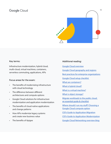

#### Key terms:

Infrastructure modernization, hybrid cloud, multi-cloud, virtual machines, containers, serverless commuting, applications, APIs

#### Focus areas for the exam:

- The benefits of modernizing infrastructure with cloud technology
- The difference between different architectures and compute options
- Google Cloud solutions for infrastructure modernization and application modernization
- The benefits of cloud-native applications and change patterns
- How APIs modernize legacy systems and create new business value
- The benefits of Apigee

#### Additional reading:

[Google Cloud overview](https://cloud.google.com/docs/overview)

- [Google Cloud geography and regions](https://cloud.google.com/docs/geography-and-regions)
- [Best practices for enterprise organizations](https://cloud.google.com/docs/enterprise/best-practices-for-enterprise-organizations)
- [Google Cloud setup checklist](https://cloud.google.com/docs/enterprise/setup-checklist)
- [What are containers?](https://cloud.google.com/learn/what-are-containers)
- [What is hybrid cloud?](https://cloud.google.com/learn/what-is-hybrid-cloud)
- [What is a virtual machine?](https://cloud.google.com/learn/what-is-a-virtual-machine)

[What is object storage?](https://cloud.google.com/learn/what-is-object-storage)

- [Migrate workloads to the public cloud:](https://cloud.google.com/resources/cloud-migration-checklist)  [an essential guide & checklist](https://cloud.google.com/resources/cloud-migration-checklist)
- [Where should I run my stuff? Choosing a](https://cloud.google.com/blog/topics/developers-practitioners/where-should-i-run-my-stuff-choosing-google-cloud-compute-option) [Google Cloud compute option](https://cloud.google.com/blog/topics/developers-practitioners/where-should-i-run-my-stuff-choosing-google-cloud-compute-option)
- [CIO's Guide to Application Migration](https://services.google.com/fh/files/misc/cio_guide_to_application_migraton.pdf)
- [CIO's Guide to Application Modernization](https://inthecloud.withgoogle.com/cio-guide-app-mod/cio_guide_app_modernization.pdf?_ga=2.135687985.1062703842.1636387866-873534910.1605864455)
- [Google Cloud Networking overview blog](https://cloud.google.com/blog/topics/developers-practitioners/google-cloud-networking-overview)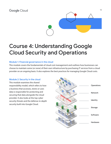

## Course 4: Understanding Google Cloud Security and Operations

#### Module 1: Financial governance in the cloud

This module covers the fundamentals of cloud cost management and outlines how businesses can choose to maintain some (or none) of their own infrastructure by purchasing IT services from a cloud provider on an ongoing basis. It also explores the best practices for managing Google Cloud costs.

#### Module 2: Security in the cloud

This module examines the shared responsibility model, which refers to how a business that accesses, stores or uses data is responsible for protecting and securing that data alongside the cloud provider. It also looks at the top cyber security threats and the defense-in-depth security built into Google Cloud.

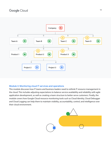

#### Module 3: Monitoring cloud IT services and operations

This module discusses how IT teams and business leaders need to rethink IT resource management in the cloud. This includes adjusting expectations to balance service availability and reliability with agile application development, as well as creating a team structure to better serve customers. Finally, the module covers how Google Cloud resource monitoring tools such as Cloud Identity, Cloud Debugger and Cloud Logging can help them to maintain visibility, accountability, control, and intelligence over their cloud environment.

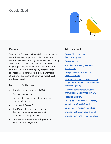

#### Key terms:

Total Cost of Ownership (TCO), visibility, accountability, control, intelligence, privacy, availability, security, control, shared responsibility model, resource hierarchy, SLO, SLA, SLI, DevOps, SRE, downtime, monitoring, logging, phishing attack, physical damage, malware and viruses, unsecured third party systems, expert knowledge, data at rest, data in transit, encryption at rest, encryption in transit, zero trust model, least privileged model

#### Focus areas for the exam:

- How cloud technology impacts TCO
- Cost management strategies
- Fundamental cloud security terms and top cybersecurity threats
- Security with Google Cloud
- How IT operations need to change in the cloud, including service availability expectations, DevOps and SRE
- Cloud resource monitoring and application performance management

#### Additional reading:

[Google Cloud security](https://services.google.com/fh/files/misc/google-cloud-security-foundations-guide.pdf)  [foundations guide](https://services.google.com/fh/files/misc/google-cloud-security-foundations-guide.pdf)

[Google security](https://cloud.google.com/security/overview/whitepaper)

[A guide to financial governance](https://cloud.google.com/files/guide-to-financial-governance.pdf) [in the cloud](https://cloud.google.com/files/guide-to-financial-governance.pdf)

[Google Infrastructure Security](https://cloud.google.com/security/infrastructure) [Design Overview](https://cloud.google.com/security/infrastructure)

[Increasing business value with better](https://services.google.com/fh/files/misc/sre-it-operations-whitepaper.pdf) [IT operations: A guide to site reliability](https://services.google.com/fh/files/misc/sre-it-operations-whitepaper.pdf) [engineering \(SRE\)](https://services.google.com/fh/files/misc/sre-it-operations-whitepaper.pdf)

[Exploring container security: the](https://cloud.google.com/blog/products/containers-kubernetes/exploring-container-security-the-shared-responsibility-model-in-gke-container-security-shared-responsibility-model-gke)  [shared responsibility model in GKE](https://cloud.google.com/blog/products/containers-kubernetes/exploring-container-security-the-shared-responsibility-model-in-gke-container-security-shared-responsibility-model-gke)

[Resource hierarchy](https://cloud.google.com/resource-manager/docs/cloud-platform-resource-hierarchy)

[AirAsia: adopting a modern identity](https://services.google.com/fh/files/misc/air_asia_cloud_identity_customer_story.pdf) [solution with Google Cloud](https://services.google.com/fh/files/misc/air_asia_cloud_identity_customer_story.pdf)

[Voyage to the modern workplace](https://services.google.com/fh/files/misc/cloud_identity_infographic_final.pdf)

[Encryption at rest in Google Cloud](https://cloud.google.com/security/encryption/default-encryption/)

[Encryption in transit in Google Cloud](https://cloud.google.com/security/encryption-in-transit)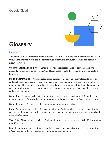

## **Glossary**

### Course 1

The cloud – A metaphor for the network of data centers that store and compute information available through the Internet. It includes the complex web of software, computers, networks and security systems involved.

Cloud technology/computing – The technology and processes needed to store, manage, and access data that is transferred over the Cloud (as opposed to data that remains on your computer's hard drive).

Digital transformation – When an organization takes advantage of new technologies to redesign and redefine relationships with their customers, employees, and partners. Digital transformation uses modern digital technologies—including all types of public, private, and hybrid cloud platforms—to create or modify business processes, culture, and customer experiences to meet changing business and market dynamics.

Computing – A machine's ability to process, store, retrieve, compare and analyze information, and to automate tasks often done by computer programs (otherwise known as software or applications).

Compute power – The speed at which a computer is able to process data.

Data – Any information that is useful to an organization. Can be numbers on a spreadsheet, text in an email, audio or video recordings, images, or even ideas in employees' heads. Includes internal and external information.

Think 10x – Also 'generating big ideas'. Finding solutions that make improvements by 10 times, rather than 10 percent.

Launch and iterate – Also 'continuous learning'. A mindset and a practice where, instead of starting off with a perfect solution, you figure it out through experimentation.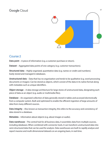

### Course 2

Data point – A piece of information (e.g. a customer purchase or return).

Dataset – Aggregated data points of one category (e.g. customer transactions).

Structured data – Highly organized, quantitative data (e.g. names or credit card numbers). Easily stored and managed in databases.

Unstructured data – Data that has no organization and tends to be qualitative (e.g. word processing documents or images). Can be stored as objects, which consist of the data in its native format along with metadata such as unique identifiers.

Object storage - A data storage architecture for large stores of unstructured data, designating each piece of data as an object (e.g. audio or multimedia files).

Database – An organized collection of data generally stored in tables and accessed electronically from a computer system. Built and optimized to enable the efficient ingestion of large amounts of data from many different sources.

Data integrity – Also known as transaction integrity, this refers to the accuracy and consistency of data stored in a database.

Metadata – Information about objects (e.g. about images or audio).

Data warehouse – The central hub for all business data, it assembles data from multiple sources, including databases. When combined with connector tools, it can transform unstructured data into semi-structured data that can be used for analysis. Data warehouses are built to rapidly analyse and report massive and multi-dimensional datasets on an ongoing basis, in real-time.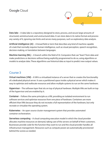

Data lake – A data lake is a repository designed to store, process, and secure large amounts of structured, semistructured, and unstructured data. It can store data in its native format and process any variety of it, ignoring size limits and serves many purposes, such as exploratory data analysis.

Artificial intelligence (AI) – A broad field or term that describes any kind of machine capable of a task that normally requires human intelligence, such as visual perception, speech recognition, decision-making, or translation between languages.

Machine learning (ML) – A branch within the field of AI. Computers that can "learn" from data and make predictions or decisions without being explicitly programmed to do so, using algorithms or models to analyze data. These algorithms use historical data as input to predict new output values.

## Course 3

Virtual machines (VM) - A VM is a virtualized instance of a server that re-creates the functionality of a dedicated physical server. It uses a partitioned space inside a physical server which makes it easy to optimize and reallocate resources and allow multiple systems to run on the same hardware.

Hypervisor – The software layer that sits on top of physical hardware. Multiple VMs are built on top of the hypervisor and are enabled by it.

Container – Follows the same principle as a VM, providing an isolated environment to run software services and optimize resources from one piece of hardware. Containers are more efficient than VMs because they do not recreate a full representation of the hardware, but only recreate or virtualize the operating system.

Kubernetes – An open source cluster management system that provides automated container orchestration.

Serverless computing – A cloud computing execution model in which the cloud provider allocates machine resources on demand, taking care of the servers on behalf of their customers. Businesses provide code for the function they want to run and the cloud provider handles all infrastructure management. Resources such as compute power are automatically provisioned behind the scenes as needed.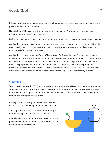Private cloud – When an organization has virtualized servers in its own data centers to create its own private on-premises environment.

Hybrid cloud – When an organization uses some combination of on-premises or private cloud infrastructure and public cloud services.

Multi-cloud – When an organization is using multiple public cloud providers as part of its architecture.

Application (or app) – A computer program or software that is designed to carry out a specific digital task, typically used or run by an end-user. In this digital age, customers expect applications to be intuitive, well-functioning, and efficient.

Application programming interface (API) – A piece of software that interfaces with or connects different applications and enables information to flow between systems. In contrast to a user interface, which connects a computer to a person, an API connects computers or pieces of software to each other. One purpose of APIs is to hide the internal details of how a system works, exposing only those parts a developer wants to allow a user or program to interface with. In this way APIs can help organizations to adapt to modern business needs by allowing access to older legacy systems.

### Course 4

Total cost of ownership (TCO) – A comprehensive assessment of all layers within the infrastructure and other associated costs across the business over time. Includes acquiring hardware and software, management and support, communications, and user expenses, and the cost of service downtime, training and other productivity losses.

Privacy – The data an organization or an individual has access to, and who they can share that data with.

Security – The policies, procedures and controls put in place to keep data and infrastructure safe.

Availability – The duration for which the cloud service provider guarantees that client's data and services are up and running or accessible.

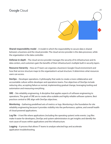

Shared responsibility model – A model in which the responsibility to secure data is shared between a business and the cloud provider. The cloud service provider is the data processor, while the organization is the data controller.

Defense-in-depth – The cloud service provider manages the security of its infrastructure and its data centers, and customers gain the benefits of their infrastructure's multiple built in security layers.

Resource hierarchy - How an IT team can organize a business's Google Cloud environment and how that service structure maps to the organization's actual structure. It determines what resources users can access.

DevOps – Developer operations. A philosophy that seeks to create a more collaborative and accountable culture within developer and operations teams. Five objectives of DevOps include reducing silos, accepting failure as normal, implementing gradual change, leveraging tooling and automation and measuring everything.

SRE – Site reliability engineering. A discipline that applies aspects of software engineering to operations. The goals of SRE are to create ultra-scalable and highly reliable software systems. Best practices central to SRE align with DevOps objectives.

Monitoring – Gathering predefined sets of metrics or logs. Monitoring is the foundation for site reliability engineering because it provides visibility into the performance, uptime, and overall health of cloud powered applications.

Log file – A text file where applications (including the operating system) write events. Log files make it easier for developers, DevOps and system administrators to get insights and identify the root cause of issues within applications and the infrastructure.

Logging – A process that allows IT teams to analyze selected logs and accelerate application troubleshooting.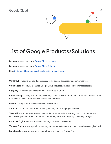

## List of Google Products/Solutions

For more information about [Google Cloud products](https://cloud.google.com/products/?hl=en)

For more information about [Google Cloud Solutions](https://cloud.google.com/solutions)

Blog[: 21 Google Cloud tools, each explained in under 2 minutes](https://cloud.google.com/blog/topics/inside-google-cloud/21-google-cloud-tools-each-explained-under-2-minutes)

Cloud SQL – Google Cloud's database service (relational database management service)

Cloud Spanner – A fully managed Google Cloud database service designed for global scale

**BigQuery** – Google Cloud's leading data warehouse solution

Cloud Storage – Google Cloud's object storage service for structured, semi-structured and structured data. One of several products used in data lake solutions

Looker – Google Cloud business intelligence solution

Vertex AI – A unified platform for training, hosting and managing ML models

TensorFlow – An end-to-end open source platform for machine learning, with a comprehensive, flexible ecosystem of tools, libraries and community resources, originally created by Google

Compute Engine – Virtual machines running in Google's data center

VMware Engine – An engine for migrating and running VMware workloads natively on Google Cloud

Bare Metal – Infrastructure to run specialized workloads on Google Cloud